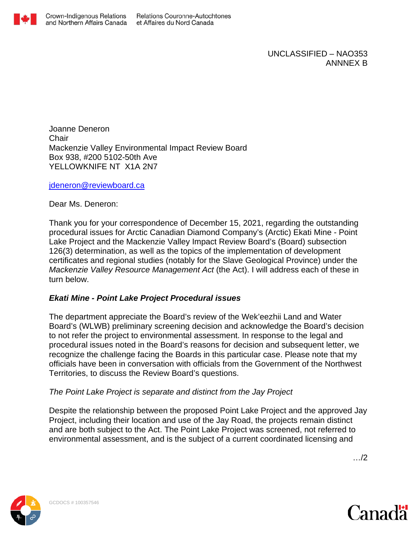

UNCLASSIFIED – NAO353 ANNNEX B

Joanne Deneron **Chair** Mackenzie Valley Environmental Impact Review Board Box 938, #200 5102-50th Ave YELLOWKNIFE NT X1A 2N7

[jdeneron@reviewboard.ca](mailto:jdeneron@reviewboard.ca)

Dear Ms. Deneron:

Thank you for your correspondence of December 15, 2021, regarding the outstanding procedural issues for Arctic Canadian Diamond Company's (Arctic) Ekati Mine - Point Lake Project and the Mackenzie Valley Impact Review Board's (Board) subsection 126(3) determination, as well as the topics of the implementation of development certificates and regional studies (notably for the Slave Geological Province) under the *Mackenzie Valley Resource Management Act* (the Act). I will address each of these in turn below.

### *Ekati Mine - Point Lake Project Procedural issues*

The department appreciate the Board's review of the Wek'eezhii Land and Water Board's (WLWB) preliminary screening decision and acknowledge the Board's decision to not refer the project to environmental assessment. In response to the legal and procedural issues noted in the Board's reasons for decision and subsequent letter, we recognize the challenge facing the Boards in this particular case. Please note that my officials have been in conversation with officials from the Government of the Northwest Territories, to discuss the Review Board's questions.

### *The Point Lake Project is separate and distinct from the Jay Project*

Despite the relationship between the proposed Point Lake Project and the approved Jay Project, including their location and use of the Jay Road, the projects remain distinct and are both subject to the Act. The Point Lake Project was screened, not referred to environmental assessment, and is the subject of a current coordinated licensing and

…/2



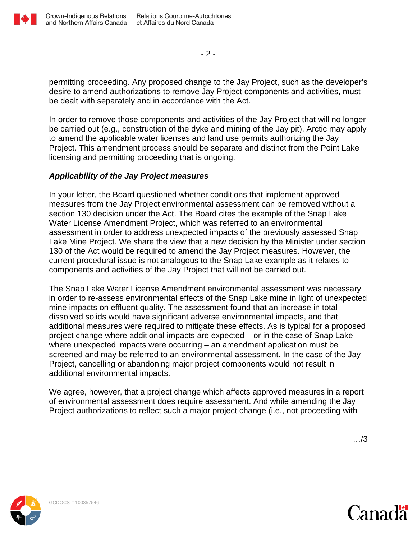

 $-2-$ 

permitting proceeding. Any proposed change to the Jay Project, such as the developer's desire to amend authorizations to remove Jay Project components and activities, must be dealt with separately and in accordance with the Act.

In order to remove those components and activities of the Jay Project that will no longer be carried out (e.g., construction of the dyke and mining of the Jay pit), Arctic may apply to amend the applicable water licenses and land use permits authorizing the Jay Project. This amendment process should be separate and distinct from the Point Lake licensing and permitting proceeding that is ongoing.

## *Applicability of the Jay Project measures*

In your letter, the Board questioned whether conditions that implement approved measures from the Jay Project environmental assessment can be removed without a section 130 decision under the Act. The Board cites the example of the Snap Lake Water License Amendment Project, which was referred to an environmental assessment in order to address unexpected impacts of the previously assessed Snap Lake Mine Project. We share the view that a new decision by the Minister under section 130 of the Act would be required to amend the Jay Project measures. However, the current procedural issue is not analogous to the Snap Lake example as it relates to components and activities of the Jay Project that will not be carried out.

The Snap Lake Water License Amendment environmental assessment was necessary in order to re-assess environmental effects of the Snap Lake mine in light of unexpected mine impacts on effluent quality. The assessment found that an increase in total dissolved solids would have significant adverse environmental impacts, and that additional measures were required to mitigate these effects. As is typical for a proposed project change where additional impacts are expected – or in the case of Snap Lake where unexpected impacts were occurring – an amendment application must be screened and may be referred to an environmental assessment. In the case of the Jay Project, cancelling or abandoning major project components would not result in additional environmental impacts.

We agree, however, that a project change which affects approved measures in a report of environmental assessment does require assessment. And while amending the Jay Project authorizations to reflect such a major project change (i.e., not proceeding with

…/3



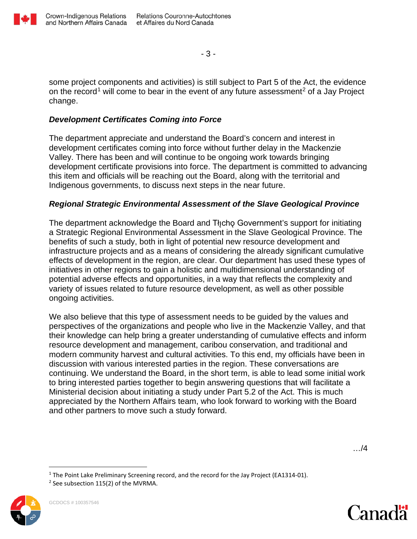

- 3 -

some project components and activities) is still subject to Part 5 of the Act, the evidence on the record<sup>[1](#page-2-0)</sup> will come to bear in the event of any future assessment<sup>[2](#page-2-1)</sup> of a Jay Project change.

# *Development Certificates Coming into Force*

The department appreciate and understand the Board's concern and interest in development certificates coming into force without further delay in the Mackenzie Valley. There has been and will continue to be ongoing work towards bringing development certificate provisions into force. The department is committed to advancing this item and officials will be reaching out the Board, along with the territorial and Indigenous governments, to discuss next steps in the near future.

## *Regional Strategic Environmental Assessment of the Slave Geological Province*

The department acknowledge the Board and Tłicho Government's support for initiating a Strategic Regional Environmental Assessment in the Slave Geological Province. The benefits of such a study, both in light of potential new resource development and infrastructure projects and as a means of considering the already significant cumulative effects of development in the region, are clear. Our department has used these types of initiatives in other regions to gain a holistic and multidimensional understanding of potential adverse effects and opportunities, in a way that reflects the complexity and variety of issues related to future resource development, as well as other possible ongoing activities.

We also believe that this type of assessment needs to be guided by the values and perspectives of the organizations and people who live in the Mackenzie Valley, and that their knowledge can help bring a greater understanding of cumulative effects and inform resource development and management, caribou conservation, and traditional and modern community harvest and cultural activities. To this end, my officials have been in discussion with various interested parties in the region. These conversations are continuing. We understand the Board, in the short term, is able to lead some initial work to bring interested parties together to begin answering questions that will facilitate a Ministerial decision about initiating a study under Part 5.2 of the Act. This is much appreciated by the Northern Affairs team, who look forward to working with the Board and other partners to move such a study forward.

…/4

<span id="page-2-1"></span><span id="page-2-0"></span>



<sup>&</sup>lt;sup>1</sup> The Point Lake Preliminary Screening record, and the record for the Jay Project (EA1314-01).<br><sup>2</sup> See subsection 115(2) of the MVRMA.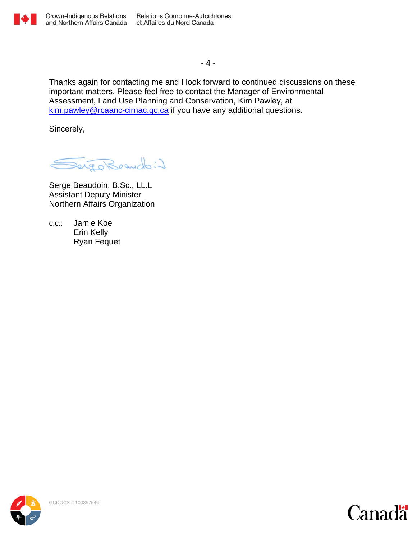

 $-4 -$ 

Thanks again for contacting me and I look forward to continued discussions on these important matters. Please feel free to contact the Manager of Environmental Assessment, Land Use Planning and Conservation, Kim Pawley, at [kim.pawley@rcaanc-cirnac.gc.ca](mailto:kim.pawley@rcaanc-cirnac.gc.ca) if you have any additional questions.

Sincerely,

Sergo Brando: 2

Serge Beaudoin, B.Sc., LL.L Assistant Deputy Minister Northern Affairs Organization

c.c.: Jamie Koe Erin Kelly Ryan Fequet